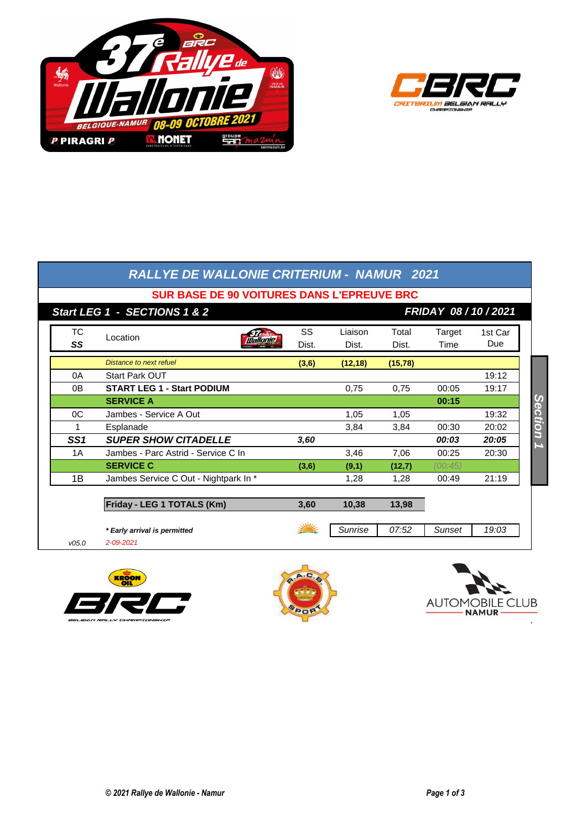



|                                                              | <b>RALLYE DE WALLONIE CRITERIUM - NAMUR 2021</b> |             |                  |                |                |                |  |  |  |  |
|--------------------------------------------------------------|--------------------------------------------------|-------------|------------------|----------------|----------------|----------------|--|--|--|--|
| <b>SUR BASE DE 90 VOITURES DANS L'EPREUVE BRC</b>            |                                                  |             |                  |                |                |                |  |  |  |  |
| Start LEG 1 - SECTIONS 1 & 2<br><b>FRIDAY 08 / 10 / 2021</b> |                                                  |             |                  |                |                |                |  |  |  |  |
| ТC<br>SS                                                     | Location<br><b>Wallonie</b>                      | SS<br>Dist. | Liaison<br>Dist. | Total<br>Dist. | Target<br>Time | 1st Car<br>Due |  |  |  |  |
|                                                              | Distance to next refuel                          | (3,6)       | (12, 18)         | (15, 78)       |                |                |  |  |  |  |
| 0A                                                           | <b>Start Park OUT</b>                            |             |                  |                |                | 19:12          |  |  |  |  |
| 0B                                                           | <b>START LEG 1 - Start PODIUM</b>                |             | 0,75             | 0.75           | 00:05          | 19:17          |  |  |  |  |
|                                                              | <b>SERVICE A</b>                                 |             |                  |                | 00:15          |                |  |  |  |  |
| OC                                                           | Jambes - Service A Out                           |             | 1,05             | 1,05           |                | 19:32          |  |  |  |  |
| 1                                                            | Esplanade                                        |             | 3,84             | 3,84           | 00:30          | 20:02          |  |  |  |  |
| SS <sub>1</sub>                                              | <b>SUPER SHOW CITADELLE</b>                      | 3,60        |                  |                | 00:03          | 20:05          |  |  |  |  |
| 1A                                                           | Jambes - Parc Astrid - Service C In              |             | 3,46             | 7,06           | 00:25          | 20:30          |  |  |  |  |
|                                                              | <b>SERVICE C</b>                                 | (3,6)       | (9,1)            | (12,7)         | (00:45)        |                |  |  |  |  |
| 1B                                                           | Jambes Service C Out - Nightpark In *            |             | 1,28             | 1,28           | 00:49          | 21:19          |  |  |  |  |
|                                                              | Friday - LEG 1 TOTALS (Km)                       | 3,60        | 10,38            | 13,98          |                |                |  |  |  |  |
|                                                              | * Early arrival is permitted                     |             | Sunrise          | 07:52          | Sunset         | 19:03          |  |  |  |  |
| v05.0                                                        | $2 - 09 - 2021$                                  |             |                  |                |                |                |  |  |  |  |